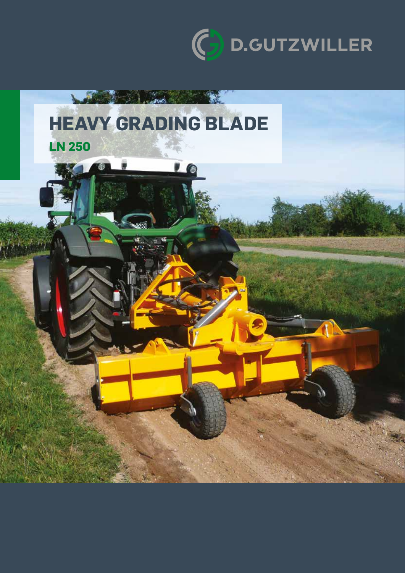

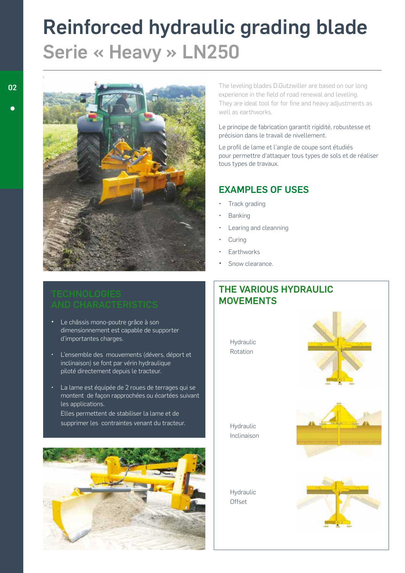# Reinforced hydraulic grading blade Serie « Heavy » LN250



- Le châssis mono-poutre grâce à son dimensionnement est capable de supporter d'importantes charges.
- L'ensemble des mouvements (dévers, déport et inclinaison) se font par vérin hydraulique piloté directement depuis le tracteur.
- La lame est équipée de 2 roues de terrages qui se montent de façon rapprochées ou écartées suivant les applications. Elles permettent de stabiliser la lame et de supprimer les contraintes venant du tracteur.



The leveling blades D.Gutzwiller are based on our long experience in the field of road renewal and leveling. They are ideal tool for for fine and heavy adjustments as well as earthworks.

### Le principe de fabrication garantit rigidité, robustesse et précision dans le travail de nivellement.

Le profil de lame et l'angle de coupe sont étudiés pour permettre d'attaquer tous types de sols et de réaliser tous types de travaux.

# EXAMPLES OF USES

- Track grading
- **Banking**
- Learing and cleanning
- **Curing**
- **Earthworks**
- Snow clearance.

# THE VARIOUS HYDRAULIC **MOVEMENTS**

Rotation

Hydraulic

Hydraulic Inclinaison

Hydraulic **Offset** 

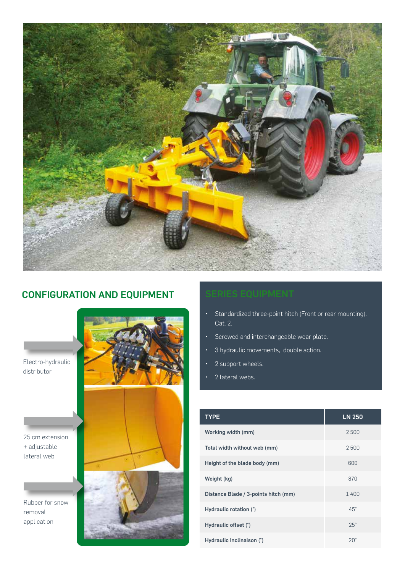

# CONFIGURATION AND EQUIPMENT SERIES EQUIPMENT



- Standardized three-point hitch (Front or rear mounting). Cat. 2.
- Screwed and interchangeable wear plate.
- 3 hydraulic movements, double action.
- 2 support wheels.
- 2 lateral webs.

| <b>TYPE</b>                          | <b>LN 250</b> |
|--------------------------------------|---------------|
| Working width (mm)                   | 2500          |
| Total width without web (mm)         | 2500          |
| Height of the blade body (mm)        | 600           |
| Weight (kg)                          | 870           |
| Distance Blade / 3-points hitch (mm) | 1400          |
| Hydraulic rotation (°)               | $45^\circ$    |
| Hydraulic offset (°)                 | $25^\circ$    |
| Hydraulic Inclinaison (°)            | $20^\circ$    |